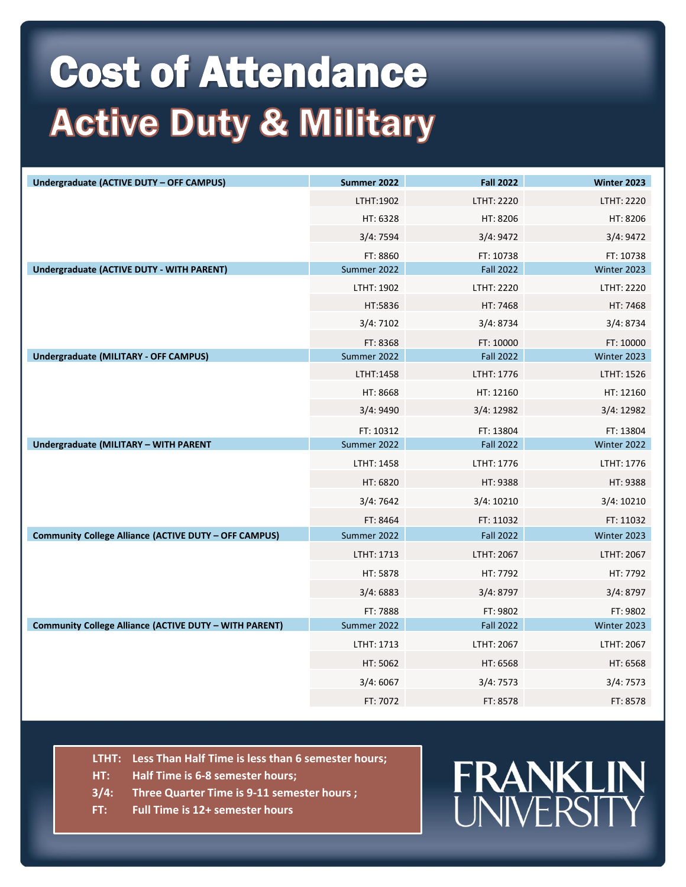## Cost of Attendance **Active Duty & Millitary**

| LTHT:1902<br>LTHT: 2220<br>LTHT: 2220<br>HT: 6328<br>HT: 8206<br>HT: 8206<br>3/4:9472<br>3/4:7594<br>3/4:9472<br>FT: 8860<br>FT: 10738<br>FT: 10738<br>Undergraduate (ACTIVE DUTY - WITH PARENT)<br>Summer 2022<br><b>Fall 2022</b><br>Winter 2023<br>LTHT: 1902<br>LTHT: 2220<br>LTHT: 2220<br>HT:5836<br>HT: 7468<br>HT: 7468<br>3/4:8734<br>3/4:7102<br>3/4:8734<br>FT: 8368<br>FT: 10000<br>FT: 10000<br><b>Undergraduate (MILITARY - OFF CAMPUS)</b><br>Summer 2022<br><b>Fall 2022</b><br>Winter 2023<br>LTHT:1458<br>LTHT: 1776<br>LTHT: 1526<br>HT: 8668<br>HT: 12160<br>HT: 12160<br>3/4:9490<br>3/4:12982<br>3/4:12982<br>FT: 10312<br>FT: 13804<br>FT: 13804<br><b>Undergraduate (MILITARY - WITH PARENT</b><br>Summer 2022<br><b>Fall 2022</b><br>Winter 2022<br>LTHT: 1458<br>LTHT: 1776<br>LTHT: 1776<br>HT: 6820<br>HT: 9388<br>HT: 9388<br>3/4:7642<br>3/4:10210<br>3/4:10210<br>FT: 8464<br>FT: 11032<br>FT: 11032<br><b>Community College Alliance (ACTIVE DUTY - OFF CAMPUS)</b><br>Summer 2022<br><b>Fall 2022</b><br>Winter 2023<br>LTHT: 2067<br>LTHT: 1713<br>LTHT: 2067<br>HT: 5878<br>HT: 7792<br>HT: 7792<br>3/4:6883<br>3/4:8797<br>3/4:8797<br>FT: 7888<br>FT: 9802<br>FT: 9802<br><b>Community College Alliance (ACTIVE DUTY - WITH PARENT)</b><br>Summer 2022<br><b>Fall 2022</b><br>Winter 2023<br>LTHT: 2067<br>LTHT: 2067<br>LTHT: 1713<br>HT: 5062<br>HT: 6568<br>HT: 6568<br>3/4:6067<br>3/4:7573<br>3/4:7573<br>FT: 7072<br>FT: 8578<br>FT: 8578 | <b>Undergraduate (ACTIVE DUTY - OFF CAMPUS)</b> | Summer 2022 | <b>Fall 2022</b> | <b>Winter 2023</b> |
|--------------------------------------------------------------------------------------------------------------------------------------------------------------------------------------------------------------------------------------------------------------------------------------------------------------------------------------------------------------------------------------------------------------------------------------------------------------------------------------------------------------------------------------------------------------------------------------------------------------------------------------------------------------------------------------------------------------------------------------------------------------------------------------------------------------------------------------------------------------------------------------------------------------------------------------------------------------------------------------------------------------------------------------------------------------------------------------------------------------------------------------------------------------------------------------------------------------------------------------------------------------------------------------------------------------------------------------------------------------------------------------------------------------------------------------------------------------------------------------|-------------------------------------------------|-------------|------------------|--------------------|
|                                                                                                                                                                                                                                                                                                                                                                                                                                                                                                                                                                                                                                                                                                                                                                                                                                                                                                                                                                                                                                                                                                                                                                                                                                                                                                                                                                                                                                                                                      |                                                 |             |                  |                    |
|                                                                                                                                                                                                                                                                                                                                                                                                                                                                                                                                                                                                                                                                                                                                                                                                                                                                                                                                                                                                                                                                                                                                                                                                                                                                                                                                                                                                                                                                                      |                                                 |             |                  |                    |
|                                                                                                                                                                                                                                                                                                                                                                                                                                                                                                                                                                                                                                                                                                                                                                                                                                                                                                                                                                                                                                                                                                                                                                                                                                                                                                                                                                                                                                                                                      |                                                 |             |                  |                    |
|                                                                                                                                                                                                                                                                                                                                                                                                                                                                                                                                                                                                                                                                                                                                                                                                                                                                                                                                                                                                                                                                                                                                                                                                                                                                                                                                                                                                                                                                                      |                                                 |             |                  |                    |
|                                                                                                                                                                                                                                                                                                                                                                                                                                                                                                                                                                                                                                                                                                                                                                                                                                                                                                                                                                                                                                                                                                                                                                                                                                                                                                                                                                                                                                                                                      |                                                 |             |                  |                    |
|                                                                                                                                                                                                                                                                                                                                                                                                                                                                                                                                                                                                                                                                                                                                                                                                                                                                                                                                                                                                                                                                                                                                                                                                                                                                                                                                                                                                                                                                                      |                                                 |             |                  |                    |
|                                                                                                                                                                                                                                                                                                                                                                                                                                                                                                                                                                                                                                                                                                                                                                                                                                                                                                                                                                                                                                                                                                                                                                                                                                                                                                                                                                                                                                                                                      |                                                 |             |                  |                    |
|                                                                                                                                                                                                                                                                                                                                                                                                                                                                                                                                                                                                                                                                                                                                                                                                                                                                                                                                                                                                                                                                                                                                                                                                                                                                                                                                                                                                                                                                                      |                                                 |             |                  |                    |
|                                                                                                                                                                                                                                                                                                                                                                                                                                                                                                                                                                                                                                                                                                                                                                                                                                                                                                                                                                                                                                                                                                                                                                                                                                                                                                                                                                                                                                                                                      |                                                 |             |                  |                    |
|                                                                                                                                                                                                                                                                                                                                                                                                                                                                                                                                                                                                                                                                                                                                                                                                                                                                                                                                                                                                                                                                                                                                                                                                                                                                                                                                                                                                                                                                                      |                                                 |             |                  |                    |
|                                                                                                                                                                                                                                                                                                                                                                                                                                                                                                                                                                                                                                                                                                                                                                                                                                                                                                                                                                                                                                                                                                                                                                                                                                                                                                                                                                                                                                                                                      |                                                 |             |                  |                    |
|                                                                                                                                                                                                                                                                                                                                                                                                                                                                                                                                                                                                                                                                                                                                                                                                                                                                                                                                                                                                                                                                                                                                                                                                                                                                                                                                                                                                                                                                                      |                                                 |             |                  |                    |
|                                                                                                                                                                                                                                                                                                                                                                                                                                                                                                                                                                                                                                                                                                                                                                                                                                                                                                                                                                                                                                                                                                                                                                                                                                                                                                                                                                                                                                                                                      |                                                 |             |                  |                    |
|                                                                                                                                                                                                                                                                                                                                                                                                                                                                                                                                                                                                                                                                                                                                                                                                                                                                                                                                                                                                                                                                                                                                                                                                                                                                                                                                                                                                                                                                                      |                                                 |             |                  |                    |
|                                                                                                                                                                                                                                                                                                                                                                                                                                                                                                                                                                                                                                                                                                                                                                                                                                                                                                                                                                                                                                                                                                                                                                                                                                                                                                                                                                                                                                                                                      |                                                 |             |                  |                    |
|                                                                                                                                                                                                                                                                                                                                                                                                                                                                                                                                                                                                                                                                                                                                                                                                                                                                                                                                                                                                                                                                                                                                                                                                                                                                                                                                                                                                                                                                                      |                                                 |             |                  |                    |
|                                                                                                                                                                                                                                                                                                                                                                                                                                                                                                                                                                                                                                                                                                                                                                                                                                                                                                                                                                                                                                                                                                                                                                                                                                                                                                                                                                                                                                                                                      |                                                 |             |                  |                    |
|                                                                                                                                                                                                                                                                                                                                                                                                                                                                                                                                                                                                                                                                                                                                                                                                                                                                                                                                                                                                                                                                                                                                                                                                                                                                                                                                                                                                                                                                                      |                                                 |             |                  |                    |
|                                                                                                                                                                                                                                                                                                                                                                                                                                                                                                                                                                                                                                                                                                                                                                                                                                                                                                                                                                                                                                                                                                                                                                                                                                                                                                                                                                                                                                                                                      |                                                 |             |                  |                    |
|                                                                                                                                                                                                                                                                                                                                                                                                                                                                                                                                                                                                                                                                                                                                                                                                                                                                                                                                                                                                                                                                                                                                                                                                                                                                                                                                                                                                                                                                                      |                                                 |             |                  |                    |
|                                                                                                                                                                                                                                                                                                                                                                                                                                                                                                                                                                                                                                                                                                                                                                                                                                                                                                                                                                                                                                                                                                                                                                                                                                                                                                                                                                                                                                                                                      |                                                 |             |                  |                    |
|                                                                                                                                                                                                                                                                                                                                                                                                                                                                                                                                                                                                                                                                                                                                                                                                                                                                                                                                                                                                                                                                                                                                                                                                                                                                                                                                                                                                                                                                                      |                                                 |             |                  |                    |
|                                                                                                                                                                                                                                                                                                                                                                                                                                                                                                                                                                                                                                                                                                                                                                                                                                                                                                                                                                                                                                                                                                                                                                                                                                                                                                                                                                                                                                                                                      |                                                 |             |                  |                    |
|                                                                                                                                                                                                                                                                                                                                                                                                                                                                                                                                                                                                                                                                                                                                                                                                                                                                                                                                                                                                                                                                                                                                                                                                                                                                                                                                                                                                                                                                                      |                                                 |             |                  |                    |
|                                                                                                                                                                                                                                                                                                                                                                                                                                                                                                                                                                                                                                                                                                                                                                                                                                                                                                                                                                                                                                                                                                                                                                                                                                                                                                                                                                                                                                                                                      |                                                 |             |                  |                    |
|                                                                                                                                                                                                                                                                                                                                                                                                                                                                                                                                                                                                                                                                                                                                                                                                                                                                                                                                                                                                                                                                                                                                                                                                                                                                                                                                                                                                                                                                                      |                                                 |             |                  |                    |
|                                                                                                                                                                                                                                                                                                                                                                                                                                                                                                                                                                                                                                                                                                                                                                                                                                                                                                                                                                                                                                                                                                                                                                                                                                                                                                                                                                                                                                                                                      |                                                 |             |                  |                    |
|                                                                                                                                                                                                                                                                                                                                                                                                                                                                                                                                                                                                                                                                                                                                                                                                                                                                                                                                                                                                                                                                                                                                                                                                                                                                                                                                                                                                                                                                                      |                                                 |             |                  |                    |
|                                                                                                                                                                                                                                                                                                                                                                                                                                                                                                                                                                                                                                                                                                                                                                                                                                                                                                                                                                                                                                                                                                                                                                                                                                                                                                                                                                                                                                                                                      |                                                 |             |                  |                    |

- **LTHT: Less Than Half Time is less than 6 semester hours;**
- **HT: Half Time is 6-8 semester hours;**
- **3/4: Three Quarter Time is 9-11 semester hours ;**
- **FT: Full Time is 12+ semester hours**

## **FRANKLIN**<br>UNIVERSITY